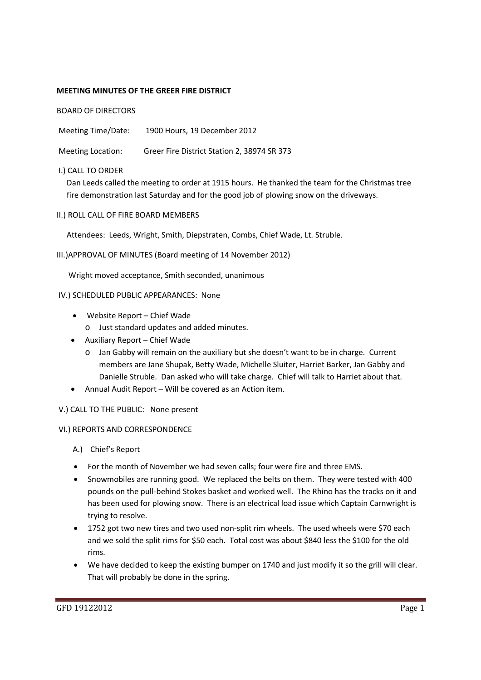## **MEETING MINUTES OF THE GREER FIRE DISTRICT**

BOARD OF DIRECTORS

Meeting Time/Date: 1900 Hours, 19 December 2012

Meeting Location: Greer Fire District Station 2, 38974 SR 373

## I.) CALL TO ORDER

Dan Leeds called the meeting to order at 1915 hours. He thanked the team for the Christmas tree fire demonstration last Saturday and for the good job of plowing snow on the driveways.

II.) ROLL CALL OF FIRE BOARD MEMBERS

Attendees: Leeds, Wright, Smith, Diepstraten, Combs, Chief Wade, Lt. Struble.

III.)APPROVAL OF MINUTES (Board meeting of 14 November 2012)

Wright moved acceptance, Smith seconded, unanimous

### IV.) SCHEDULED PUBLIC APPEARANCES: None

- Website Report Chief Wade
	- o Just standard updates and added minutes.
- Auxiliary Report Chief Wade
	- o Jan Gabby will remain on the auxiliary but she doesn't want to be in charge. Current members are Jane Shupak, Betty Wade, Michelle Sluiter, Harriet Barker, Jan Gabby and Danielle Struble. Dan asked who will take charge. Chief will talk to Harriet about that.
- Annual Audit Report Will be covered as an Action item.
- V.) CALL TO THE PUBLIC: None present

# VI.) REPORTS AND CORRESPONDENCE

- A.) Chief's Report
- For the month of November we had seven calls; four were fire and three EMS.
- Snowmobiles are running good. We replaced the belts on them. They were tested with 400 pounds on the pull-behind Stokes basket and worked well. The Rhino has the tracks on it and has been used for plowing snow. There is an electrical load issue which Captain Carnwright is trying to resolve.
- 1752 got two new tires and two used non-split rim wheels. The used wheels were \$70 each and we sold the split rims for \$50 each. Total cost was about \$840 less the \$100 for the old rims.
- We have decided to keep the existing bumper on 1740 and just modify it so the grill will clear. That will probably be done in the spring.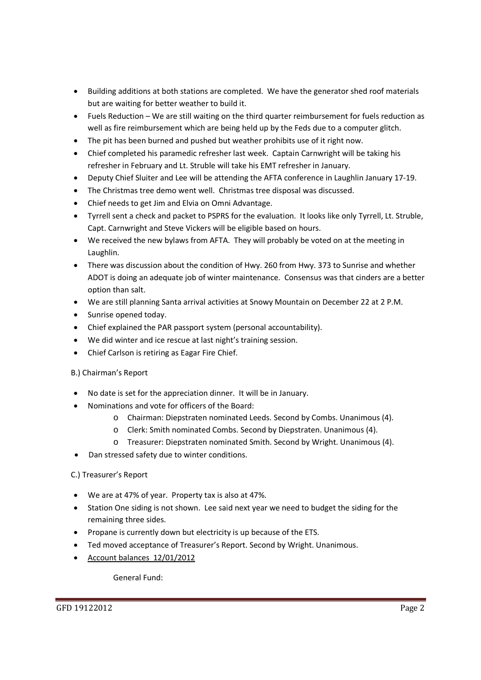- Building additions at both stations are completed. We have the generator shed roof materials but are waiting for better weather to build it.
- Fuels Reduction We are still waiting on the third quarter reimbursement for fuels reduction as well as fire reimbursement which are being held up by the Feds due to a computer glitch.
- The pit has been burned and pushed but weather prohibits use of it right now.
- Chief completed his paramedic refresher last week. Captain Carnwright will be taking his refresher in February and Lt. Struble will take his EMT refresher in January.
- Deputy Chief Sluiter and Lee will be attending the AFTA conference in Laughlin January 17-19.
- The Christmas tree demo went well. Christmas tree disposal was discussed.
- Chief needs to get Jim and Elvia on Omni Advantage.
- Tyrrell sent a check and packet to PSPRS for the evaluation. It looks like only Tyrrell, Lt. Struble, Capt. Carnwright and Steve Vickers will be eligible based on hours.
- We received the new bylaws from AFTA. They will probably be voted on at the meeting in Laughlin.
- There was discussion about the condition of Hwy. 260 from Hwy. 373 to Sunrise and whether ADOT is doing an adequate job of winter maintenance. Consensus was that cinders are a better option than salt.
- We are still planning Santa arrival activities at Snowy Mountain on December 22 at 2 P.M.
- Sunrise opened today.
- Chief explained the PAR passport system (personal accountability).
- We did winter and ice rescue at last night's training session.
- Chief Carlson is retiring as Eagar Fire Chief.

# B.) Chairman's Report

- No date is set for the appreciation dinner. It will be in January.
- Nominations and vote for officers of the Board:
	- o Chairman: Diepstraten nominated Leeds. Second by Combs. Unanimous (4).
	- o Clerk: Smith nominated Combs. Second by Diepstraten. Unanimous (4).
	- o Treasurer: Diepstraten nominated Smith. Second by Wright. Unanimous (4).
- Dan stressed safety due to winter conditions.

# C.) Treasurer's Report

- We are at 47% of year. Property tax is also at 47%.
- Station One siding is not shown. Lee said next year we need to budget the siding for the remaining three sides.
- Propane is currently down but electricity is up because of the ETS.
- Ted moved acceptance of Treasurer's Report. Second by Wright. Unanimous.
- Account balances 12/01/2012

General Fund: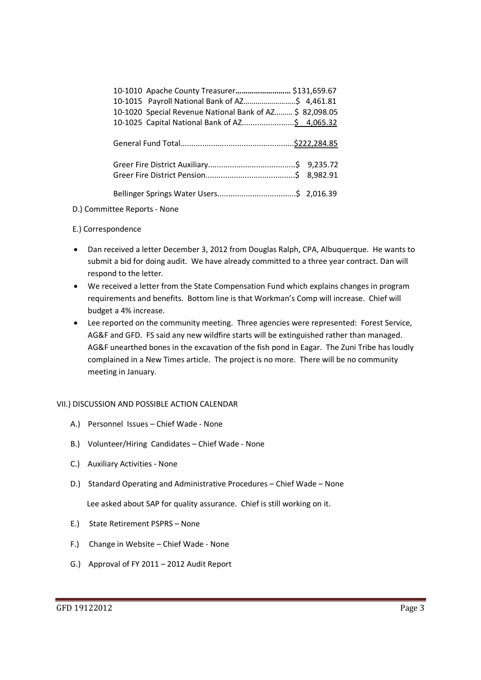| 10-1010 Apache County Treasurer \$131,659.67             |
|----------------------------------------------------------|
|                                                          |
| 10-1020 Special Revenue National Bank of AZ \$ 82,098.05 |
|                                                          |
|                                                          |
|                                                          |
|                                                          |
|                                                          |
|                                                          |
|                                                          |
|                                                          |
|                                                          |

### D.) Committee Reports - None

## E.) Correspondence

- Dan received a letter December 3, 2012 from Douglas Ralph, CPA, Albuquerque. He wants to submit a bid for doing audit. We have already committed to a three year contract. Dan will respond to the letter.
- We received a letter from the State Compensation Fund which explains changes in program requirements and benefits. Bottom line is that Workman's Comp will increase. Chief will budget a 4% increase.
- Lee reported on the community meeting. Three agencies were represented: Forest Service, AG&F and GFD. FS said any new wildfire starts will be extinguished rather than managed. AG&F unearthed bones in the excavation of the fish pond in Eagar. The Zuni Tribe has loudly complained in a New Times article. The project is no more. There will be no community meeting in January.

## VII.) DISCUSSION AND POSSIBLE ACTION CALENDAR

- A.) Personnel Issues Chief Wade None
- B.) Volunteer/Hiring Candidates Chief Wade None
- C.) Auxiliary Activities None
- D.) Standard Operating and Administrative Procedures Chief Wade None

Lee asked about SAP for quality assurance. Chief is still working on it.

- E.) State Retirement PSPRS None
- F.) Change in Website Chief Wade None
- G.) Approval of FY 2011 2012 Audit Report